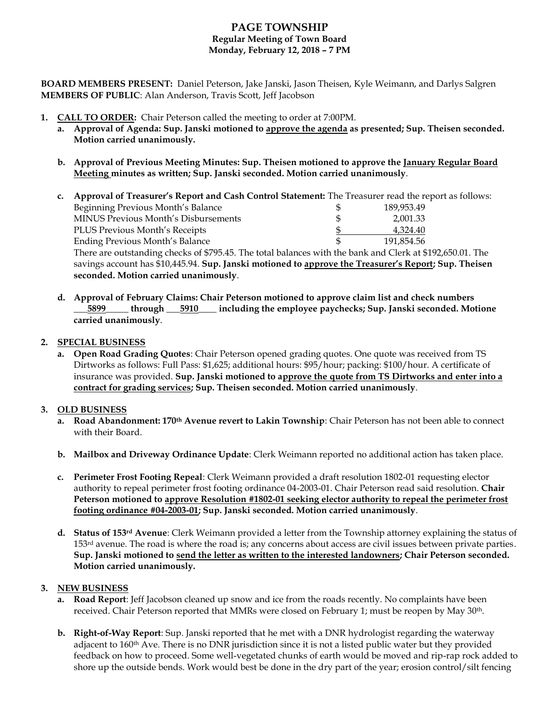# **PAGE TOWNSHIP Regular Meeting of Town Board Monday, February 12, 2018 – 7 PM**

**BOARD MEMBERS PRESENT:** Daniel Peterson, Jake Janski, Jason Theisen, Kyle Weimann, and Darlys Salgren **MEMBERS OF PUBLIC**: Alan Anderson, Travis Scott, Jeff Jacobson

- **1. CALL TO ORDER:** Chair Peterson called the meeting to order at 7:00PM.
	- **a. Approval of Agenda: Sup. Janski motioned to approve the agenda as presented; Sup. Theisen seconded. Motion carried unanimously.**
	- **b. Approval of Previous Meeting Minutes: Sup. Theisen motioned to approve the January Regular Board Meeting minutes as written; Sup. Janski seconded. Motion carried unanimously**.

| $c_{\cdot}$ | Approval of Treasurer's Report and Cash Control Statement: The Treasurer read the report as follows:                                                                                                               |    |            |  |
|-------------|--------------------------------------------------------------------------------------------------------------------------------------------------------------------------------------------------------------------|----|------------|--|
|             | Beginning Previous Month's Balance                                                                                                                                                                                 | \$ | 189,953.49 |  |
|             | MINUS Previous Month's Disbursements                                                                                                                                                                               | \$ | 2,001.33   |  |
|             | PLUS Previous Month's Receipts                                                                                                                                                                                     |    | 4,324.40   |  |
|             | <b>Ending Previous Month's Balance</b>                                                                                                                                                                             |    | 191.854.56 |  |
|             | There are outstanding checks of \$795.45. The total balances with the bank and Clerk at \$192,650.01. The<br>savings account has \$10,445.94. Sup. Janski motioned to approve the Treasurer's Report; Sup. Theisen |    |            |  |
|             |                                                                                                                                                                                                                    |    |            |  |
|             | seconded. Motion carried unanimously.                                                                                                                                                                              |    |            |  |

**d. Approval of February Claims: Chair Peterson motioned to approve claim list and check numbers \_\_\_5899\_\_\_\_\_ through \_\_\_5910\_\_\_\_ including the employee paychecks; Sup. Janski seconded. Motione carried unanimously**.

### **2. SPECIAL BUSINESS**

**a. Open Road Grading Quotes**: Chair Peterson opened grading quotes. One quote was received from TS Dirtworks as follows: Full Pass: \$1,625; additional hours: \$95/hour; packing: \$100/hour. A certificate of insurance was provided. **Sup. Janski motioned to approve the quote from TS Dirtworks and enter into a contract for grading services; Sup. Theisen seconded. Motion carried unanimously**.

### **3. OLD BUSINESS**

- **a. Road Abandonment: 170th Avenue revert to Lakin Township**: Chair Peterson has not been able to connect with their Board.
- **b. Mailbox and Driveway Ordinance Update**: Clerk Weimann reported no additional action has taken place.
- **c. Perimeter Frost Footing Repeal**: Clerk Weimann provided a draft resolution 1802-01 requesting elector authority to repeal perimeter frost footing ordinance 04-2003-01. Chair Peterson read said resolution. **Chair Peterson motioned to approve Resolution #1802-01 seeking elector authority to repeal the perimeter frost footing ordinance #04-2003-01; Sup. Janski seconded. Motion carried unanimously**.
- **d. Status of 153rd Avenue**: Clerk Weimann provided a letter from the Township attorney explaining the status of 153<sup>rd</sup> avenue. The road is where the road is; any concerns about access are civil issues between private parties. **Sup. Janski motioned to send the letter as written to the interested landowners; Chair Peterson seconded. Motion carried unanimously.**

### **3. NEW BUSINESS**

- **a. Road Report**: Jeff Jacobson cleaned up snow and ice from the roads recently. No complaints have been received. Chair Peterson reported that MMRs were closed on February 1; must be reopen by May 30<sup>th</sup>.
- **b. Right-of-Way Report**: Sup. Janski reported that he met with a DNR hydrologist regarding the waterway adjacent to 160<sup>th</sup> Ave. There is no DNR jurisdiction since it is not a listed public water but they provided feedback on how to proceed. Some well-vegetated chunks of earth would be moved and rip-rap rock added to shore up the outside bends. Work would best be done in the dry part of the year; erosion control/silt fencing